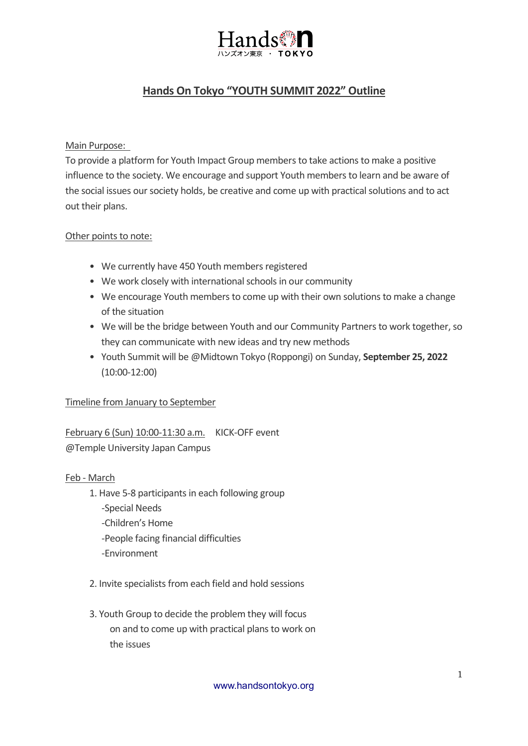

# **Hands On Tokyo "YOUTH SUMMIT 2022" Outline**

## Main Purpose:

To provide a platform for Youth Impact Group members to take actions to make a positive influence to the society. We encourage and support Youth members to learn and be aware of the social issues our society holds, be creative and come up with practical solutions and to act out their plans.

### Other points to note:

- We currently have 450 Youth members registered
- We work closely with international schools in our community
- We encourage Youth members to come up with their own solutions to make a change of the situation
- We will be the bridge between Youth and our Community Partners to work together, so they can communicate with new ideas and try new methods
- Youth Summit will be @Midtown Tokyo (Roppongi) on Sunday, **September 25, 2022** (10:00-12:00)

# Timeline from January to September

# February 6 (Sun) 10:00-11:30 a.m. KICK-OFF event

@Temple University Japan Campus

#### Feb - March

- 1. Have 5-8 participants in each following group
	- -Special Needs
	- -Children's Home
	- -People facing financial difficulties
	- -Environment
- 2. Invite specialists from each field and hold sessions
- 3. Youth Group to decide the problem they will focus on and to come up with practical plans to work on the issues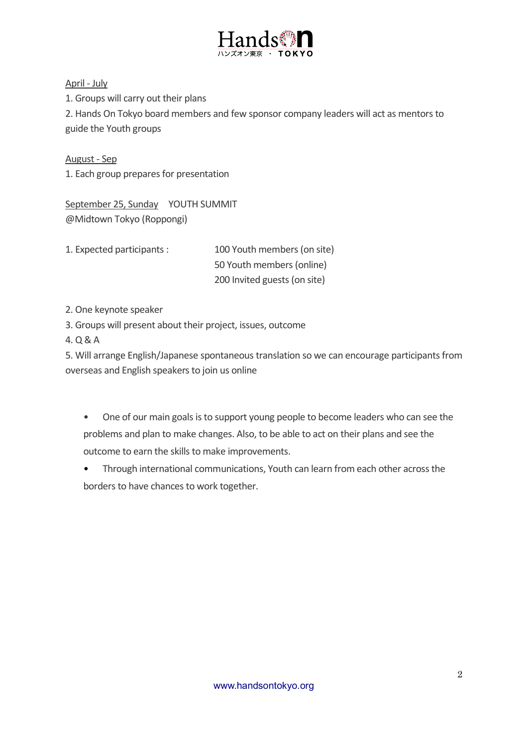

April - July 1. Groups will carry out their plans 2. Hands On Tokyo board members and few sponsor company leaders will act as mentors to guide the Youth groups

August - Sep 1. Each group prepares for presentation

September 25, Sunday YOUTH SUMMIT @Midtown Tokyo (Roppongi)

1. Expected participants : 100 Youth members (on site) 50 Youth members (online) 200 Invited guests (on site)

2. One keynote speaker

3. Groups will present about their project, issues, outcome

4. Q & A

5. Will arrange English/Japanese spontaneous translation so we can encourage participants from overseas and English speakers to join us online

• One of our main goals is to support young people to become leaders who can see the problems and plan to make changes. Also, to be able to act on their plans and see the outcome to earn the skills to make improvements.

• Through international communications, Youth can learn from each other across the borders to have chances to work together.